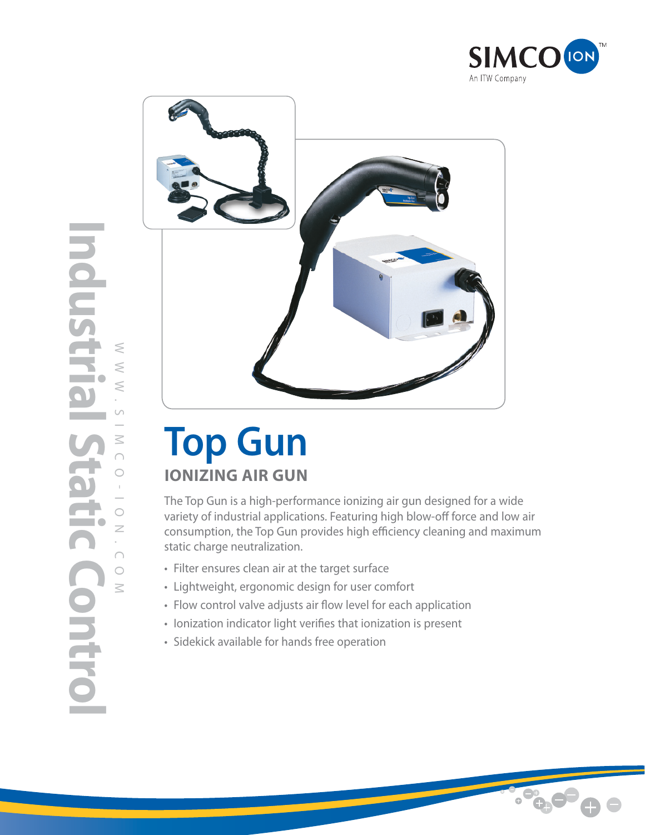



# **Top Gun IONIZING AIR GUN**

The Top Gun is a high-performance ionizing air gun designed for a wide variety of industrial applications. Featuring high blow-off force and low air consumption, the Top Gun provides high efficiency cleaning and maximum static charge neutralization.

- Filter ensures clean air at the target surface
- Lightweight, ergonomic design for user comfort
- Flow control valve adjusts air flow level for each application
- Ionization indicator light verifies that ionization is present
- Sidekick available for hands free operation